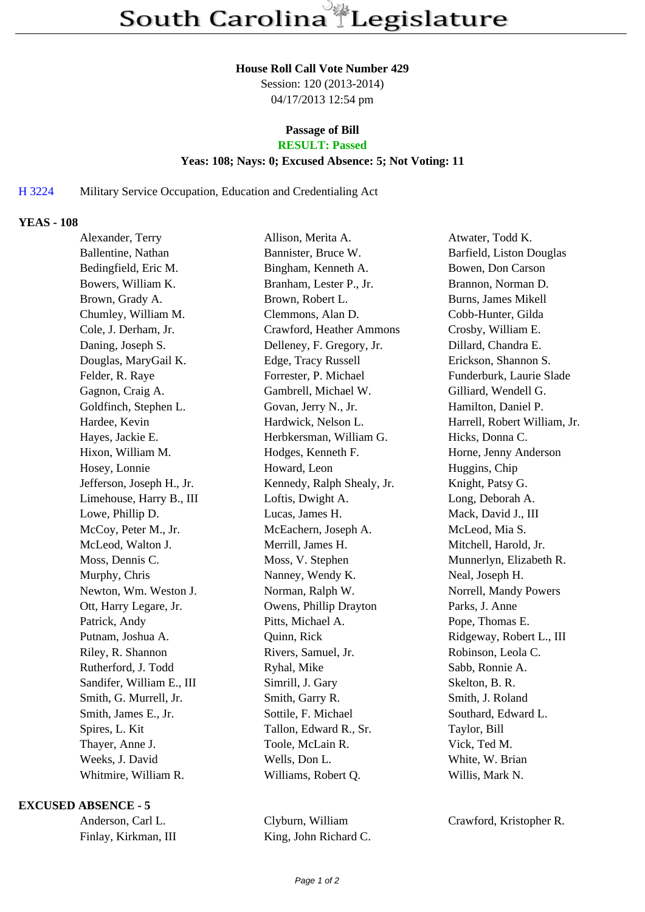#### **House Roll Call Vote Number 429**

Session: 120 (2013-2014) 04/17/2013 12:54 pm

# **Passage of Bill**

# **RESULT: Passed**

### **Yeas: 108; Nays: 0; Excused Absence: 5; Not Voting: 11**

## H 3224 Military Service Occupation, Education and Credentialing Act

## **YEAS - 108**

| Alexander, Terry          | Allison, Merita A.         | Atwater, Todd K.             |
|---------------------------|----------------------------|------------------------------|
| Ballentine, Nathan        | Bannister, Bruce W.        | Barfield, Liston Douglas     |
| Bedingfield, Eric M.      | Bingham, Kenneth A.        | Bowen, Don Carson            |
| Bowers, William K.        | Branham, Lester P., Jr.    | Brannon, Norman D.           |
| Brown, Grady A.           | Brown, Robert L.           | Burns, James Mikell          |
| Chumley, William M.       | Clemmons, Alan D.          | Cobb-Hunter, Gilda           |
| Cole, J. Derham, Jr.      | Crawford, Heather Ammons   | Crosby, William E.           |
| Daning, Joseph S.         | Delleney, F. Gregory, Jr.  | Dillard, Chandra E.          |
| Douglas, MaryGail K.      | Edge, Tracy Russell        | Erickson, Shannon S.         |
| Felder, R. Raye           | Forrester, P. Michael      | Funderburk, Laurie Slade     |
| Gagnon, Craig A.          | Gambrell, Michael W.       | Gilliard, Wendell G.         |
| Goldfinch, Stephen L.     | Govan, Jerry N., Jr.       | Hamilton, Daniel P.          |
| Hardee, Kevin             | Hardwick, Nelson L.        | Harrell, Robert William, Jr. |
| Hayes, Jackie E.          | Herbkersman, William G.    | Hicks, Donna C.              |
| Hixon, William M.         | Hodges, Kenneth F.         | Horne, Jenny Anderson        |
| Hosey, Lonnie             | Howard, Leon               | Huggins, Chip                |
| Jefferson, Joseph H., Jr. | Kennedy, Ralph Shealy, Jr. | Knight, Patsy G.             |
| Limehouse, Harry B., III  | Loftis, Dwight A.          | Long, Deborah A.             |
| Lowe, Phillip D.          | Lucas, James H.            | Mack, David J., III          |
| McCoy, Peter M., Jr.      | McEachern, Joseph A.       | McLeod, Mia S.               |
| McLeod, Walton J.         | Merrill, James H.          | Mitchell, Harold, Jr.        |
| Moss, Dennis C.           | Moss, V. Stephen           | Munnerlyn, Elizabeth R.      |
| Murphy, Chris             | Nanney, Wendy K.           | Neal, Joseph H.              |
| Newton, Wm. Weston J.     | Norman, Ralph W.           | Norrell, Mandy Powers        |
| Ott, Harry Legare, Jr.    | Owens, Phillip Drayton     | Parks, J. Anne               |
| Patrick, Andy             | Pitts, Michael A.          | Pope, Thomas E.              |
| Putnam, Joshua A.         | Quinn, Rick                | Ridgeway, Robert L., III     |
| Riley, R. Shannon         | Rivers, Samuel, Jr.        | Robinson, Leola C.           |
| Rutherford, J. Todd       | Ryhal, Mike                | Sabb, Ronnie A.              |
| Sandifer, William E., III | Simrill, J. Gary           | Skelton, B. R.               |
| Smith, G. Murrell, Jr.    | Smith, Garry R.            | Smith, J. Roland             |
| Smith, James E., Jr.      | Sottile, F. Michael        | Southard, Edward L.          |
| Spires, L. Kit            | Tallon, Edward R., Sr.     | Taylor, Bill                 |
| Thayer, Anne J.           | Toole, McLain R.           | Vick, Ted M.                 |
| Weeks, J. David           | Wells, Don L.              | White, W. Brian              |
| Whitmire, William R.      | Williams, Robert Q.        | Willis, Mark N.              |

#### **EXCUSED ABSENCE - 5**

Anderson, Carl L. Clyburn, William Crawford, Kristopher R. Finlay, Kirkman, III King, John Richard C.